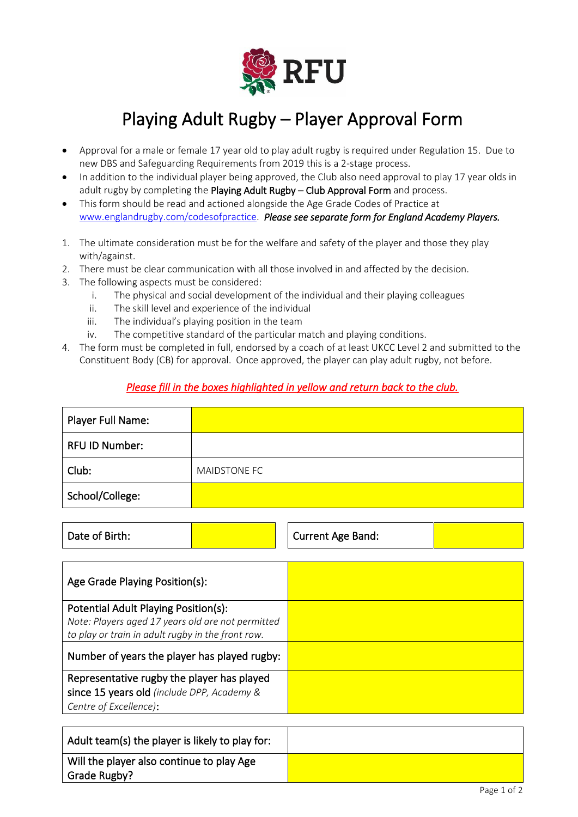

## Playing Adult Rugby – Player Approval Form

- Approval for a male or female 17 year old to play adult rugby is required under Regulation 15. Due to new DBS and Safeguarding Requirements from 2019 this is a 2-stage process.
- In addition to the individual player being approved, the Club also need approval to play 17 year olds in adult rugby by completing the Playing Adult Rugby – Club Approval Form and process.
- This form should be read and actioned alongside the Age Grade Codes of Practice at [www.englandrugby.com/codesofpractice.](http://www.englandrugby.com/codesofpractice) *Please see separate form for England Academy Players.*
- 1. The ultimate consideration must be for the welfare and safety of the player and those they play with/against.
- 2. There must be clear communication with all those involved in and affected by the decision.
- 3. The following aspects must be considered:
	- i. The physical and social development of the individual and their playing colleagues
	- ii. The skill level and experience of the individual
	- iii. The individual's playing position in the team
	- iv. The competitive standard of the particular match and playing conditions.
- 4. The form must be completed in full, endorsed by a coach of at least UKCC Level 2 and submitted to the Constituent Body (CB) for approval. Once approved, the player can play adult rugby, not before.

## *Please fill in the boxes highlighted in yellow and return back to the club.*

| Player Full Name:     |              |
|-----------------------|--------------|
| <b>RFU ID Number:</b> |              |
| Club:                 | MAIDSTONE FC |
| School/College:       |              |

| Date of Birth: |  | <b>Current Age Band:</b> |  |
|----------------|--|--------------------------|--|
|----------------|--|--------------------------|--|

| Age Grade Playing Position(s):                    |  |
|---------------------------------------------------|--|
| Potential Adult Playing Position(s):              |  |
| Note: Players aged 17 years old are not permitted |  |
| to play or train in adult rugby in the front row. |  |
| Number of years the player has played rugby:      |  |
| Representative rugby the player has played        |  |
| since 15 years old (include DPP, Academy &        |  |
| Centre of Excellence):                            |  |

| Adult team(s) the player is likely to play for:           |  |
|-----------------------------------------------------------|--|
| Will the player also continue to play Age<br>Grade Rugby? |  |